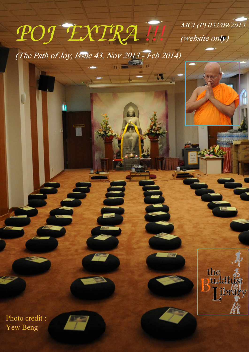## *POJ EXTRA !!!*  MCI (P) 033/09/2013. (website only)

(The Path of Joy, Issue 43, Nov 2013 - Feb 2014)

Photo credit : Yew Beng



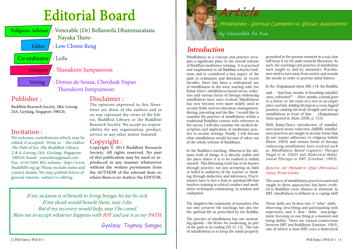# Editorial Board

Religious Advisor : Venerable (Dr) Bellanwila Dhammaratana Nayaka Thero Editor : Low Chwee Beng

Co-ordinator /: Leila

Designer : Thanakorn Jumpamoon

# Mindfulness – Spiritual Cultivation vs. Secular Applications

The *Sangha* is the community of monastics who not only preserve the teachings but also live the spiritual life as prescribed by the Buddha.

oneself. This liberating truth has to be known through practice, not just accepting on faith or belief in authority of the teacher or thinking through deduction and inferences. Practitioners have to live a *holy* or *spiritual life* that involves training in ethical conduct and meditative techniques culminating in wisdom and realisation.

The source of mindfulness practices used and taught in these approaches has been credited to Buddhist roots (Huxter in *Einstein*). In DBT, mindfulness is defined as a *coping skill.* 

Mindfulness as a concept and practice occupies a significant place in the overall scheme of Buddhist meditative training. It is practised and emphasised in all Buddhist schools/traditions and is considered a key aspect of the path to realisation and liberation. In recent decades, there has been a widespread use of mindfulness in the west, starting with Jon Kabat-Zinn's mindfulness-based stress reduction and various forms of therapy embracing mindfulness have since evolved. Mindfulness has now become even more widely used in secular fields such as education, management, dieting, parenting and the like. I would like to examine the practice of mindfulness within a traditional Buddhist context with reference to the sutras. I will also examine the modern description and application of meditation practice in secular settings. Finally, I will discuss what mindfulness would become if taken out of the whole scheme of Buddhism. In the Buddha's teaching, *Dharma* is the ultimate truth of things. It is directly visible and the place where it is to be realised is within grounded in the present moment in a way that will keep it on the path towards liberation. As such, the teachings and practice of mindfulnss were taught to, and by, monastics. Practitioners need to turn away from society and owards the woods in order to practise mind fulness. In the *Ānāpānasati Sutta*, MN 118, the Buddha said – 'And how, monks, is breathing mindfulness, cultivated? … Here, monks, a monk goes to a forest, or the roots of a tree or an empty place and sits, folding his legs in a cross-legged position, making his body straight and sets up mindfulness in front of him. (Ānāpānasati Sutta quoted in Shaw, 2006, p. 153). With Kabat-Zinn's introduction of mindfulness-based stress reduction (MBSR), mindfulness practices are taught in secular forms that do not require adherence to religious beliefs (Duerr, 2004) and various forms of therapy embracing mindfulness have evolved such as Mindfulness Based Cognitive Therapy (Segal et al, 2002) and Dialectical Behavioural Therapy or DBT (Linehan, 1993).

> These skills are broken into 3 '*what*' skills observing, describing and participating with experience, and 3 ' $\overleftrightarrow{how}$ ' skills - non-judgement, focusing on one thing at a moment and being skilful. There are various connections between DBT and Buddhism (Linehan, 1993), one of which is how DBT uses a dialectical

The practice of mindfulness has one motivating agenda – the desire for awakening, as part of the path to its ending (SN 51.15). The role of mindfulness is to keep the mind properly

Vetting : Denise de Souza, Cherdsak Yupao Thanakorn Jumpamoon

We welcome contributions which may be edited, if accepted. Write to - The Editor, The Path of Joy, The Buddhist Library, 2 & 4, Lorong 24A, Geylang, Singapore <sup>398526</sup>. Email : joyeditor@gmail.com . Fax : 67417689. BL's website : http://www. buddhlib.org.sg. Please include name and contact details. We may publish letters of general interest, subject to editing.

### Roots of Modern Day Mindfulness Practices



# *Introduction*

# Publisher :

Buddhist Research Society, 2&4, Lorong 24A, Geylang, Singapore 398526.

# Invitation :

# Disclaimer :

The opinions expressed in this Newsletter are those of the authors and in no way represent the views of the Editor, Buddhist Library or the Buddhist Research Society. We accept no responsibility for any organisation, product, service or any other matter featured.

# Copyright :

Copyright © 2013 Buddhist Research Society. All rights reserved. No part of this publication may be used or reproduced in any manner whatsoever without the written permission from the AUTHOR of the relevant item or, where there is no Author, the EDITOR.

If my sickness is of benefit to living beings, let me be sick. If my death would benefit them, may I die. But if my recovery would help, may I be cured. Bless me to accept whatever happens with JOY and use it as my PATH.

Gyelsay Togmay Sangpo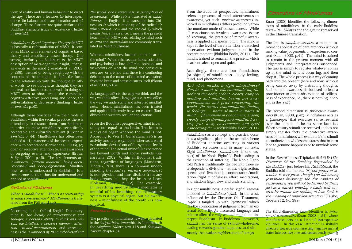view of reality and human behaviour to direct therapy. There are 3 features (a) interdependence, (b) balance and transformation and (c) change. These features are quite similar to the Buddhist characteristics of existence (Huxter in Einstein).

Although these practices have their roots in Buddhism, within the secular practice, there is a tendency to distance them from Buddhism in order to make mindfulness scientifically acceptable and culturally relevant (Huxter in Einstein, p. 44). Mindfulness has often been defined as (1) awareness of the present experience with acceptance (Germer et al, 2005), (2) open or receptive attention to, and awareness of on-going events and experience (Brown & Ryan, 2004, p.45). The key elements are 'awareness', 'present moment', 'being open', "receptive" and "non-judgemental". Mindfulness, as it is understood in Buddhism, is a richer concept than thus far understood and applied in secular fields.

#### Definition of Mindfulness

Mindfulness Based Cognitive Therapy (MBCT) is basically a reformulation of MBSR. It combines MBSR with elements of cognitive based theory and empirically based theory. One strong similarity to Buddhism is the MBCT description of meta-cognitive insight, that is, as events in the mind (Teasdale et al, 2002, p. 286). Instead of being caught-up with the contents of the thoughts, it shifts the focus to the relationship with the thought. In other words, to see thought as thought, they are not real, not facts to be believed. In doing so, MBCT aims to short-circuit the ruminative cognitive-effective processing and hence, the self-escalation of depressive thinking (Huxter in Einstein, p.50).

What is Mindfulness? What is its relationship to mind consciousness? Mindfulness is translated from the Pāli word sati

the world, one's awareness or perception of something.' While sati is translated as mindfulness in English, it is translated into Chinese as  $\hat{\mathbb{R}}$  which is made up of the radical  $\hat{\mathbb{R}}$ which means *now* and the radical  $\hat{L}$  which means heart. In essence, it means the present heart (mind). Pāli words relating to mind such as *citta* and *manasikāra* are commonly translated as *heart* in Chinese.

According to the Oxford English Dictionary, mind is *the faculty of consciousness and* thought, a person's ability to think and reason, the intellect, a person's memory, attention, will and determination' and consciousness is the 'awareness by the mind of itself and

The practice of mindfulness is well articulated in the Satipatthāna Sutta which is found in both the *Majjhima Nikāya*, text 118 and *Samyutta*<br>Nikāya, chapter 54.

Where is mindfulness located - in the heart or the mind? Within the secular fields, scientists and psychologists have different opinions and viewpoints on what the mind and consciousness are or are not and there is a continuing debate as to the nature of the mind as distinct from the brain and consciousness itself (Bloom et al, 2009, p.16).

> Mindfulness as a concept and practice, occupies a significant place in the overall scheme of Buddhist doctrine occurring in various Buddhist scriptures and in many contexts. Right *mindfulness* (samma-sati) is one (aspect) of the Noble Eightfold Path leading to the extinction of suffering. The Noble Eightfold Path is traditionally divided into three interdependent divisions – ethics (right action, speech and livelihood), concentration/meditation (right mindfulness, effort, meditation), and wisdom (right view and understanding).

As language affects the way we think and the way we think affects language use, it will affect the way we understand and interpret mindfulness. Hence, mindfulness has been treated and applied differently between eastern (Buddhism) and western secular applications.

> mately the awakening/liberation of beings. In right mindfulness, a prefix 'right' (samma) is added to *'mindfulness'* (*sati*). In the west, influenced by the Christian Old Testament, 'right' is tangled up with 'righteous', which has the connotation of judgement from an external authority. As discussed, language and culture affect the way we understand and interpret Buddhism. In Buddhism, (however), sammā has the sense of skillful/wholesome, leading towards genuine happiness and ulti

From the Buddhist perspective, mind is certainly not equal to the brain. The brain is a physical organ whereas the mind is not. According to Ven. H. Gunaratana, sati is an activity and is pre-symbolic whereas a word is symbolic; devised out of the symbolic levels of the mind. The actual (mindful) experience lies beyond words and above symbols (Gunaratana, 2002). Within all Buddhist traditions, regardless of languages (Mandarin, Tibetan, Pāli), there is a common understanding that *sati* as *'intrinsic awareness'*, is non-physical and thus distinct from any body organs, be they the brain or heart (Goleman, 2003, p.212). For example, in breathing meditation, a meditator is mindful of his breathing, the respiratory system is a physical organ, but his awareness – mindfulness of the breath - is nonphysical.

#### ence of Mind

The second dimension is *protective aware*ness (Kuan, 2008, p.42). Mindfulness acts as a 'gatekeeper' that exercises sense restraint over the stimuli of the six sense faculties. When sensory stimuli are received, it does not simply register facts, the protective awareness of mindfulness will evaluate if the stimuli is conducive to wholesome states that in turn lead to genuine happiness or to unwholesome states.

In the *Taiso* (Chinese Tripitaka) 佛遗教经 (*The* Discourse Of the Teaching Bequeathed by the Buddha - just before his Parinibbāna), the Buddha told the monks, "If your power of attention is very great, though you fall among (conditions favouring) the five robbers of sense-desire, you will not be harmed by them, just as a warrior entering a battle well covered by armour has nothing to fear. Such is the meaning of unbroken attention." (Taisho, Cebeta 712, No. 389).

The third dimension Kuan identifies is *intro*spective awareness (Kuan, 2008, p.51), where mindfulness acts as a kind of introspective vigilance. In this case, attention is skilfully directed towards counteracting negative mental states into positive ones and consequently leading

From the Buddhist perspective, mindfulness refers to presence of mind, attentiveness or awareness, yet such *'intrinsic awareness'* involved in mindfulness differs profoundly from the mundane mode of consciousness. While all consciousness involves awareness (sense of knowing), the practice of mindful awareness is applied at a special pitch. The mind is kept at the level of bare attention, a detached observation (without judgement) and in the present moment (Bhikkhu Bodhi, 2011). The mind is trained to remain in the present, which is ardent, alert, open and quiet.

Accordingly, there are four foundations (or objects) of mindfulness – body, feeling, mind, and phenomena.

And what, monks, is right mindfulness? Herein, a monk dwells contemplating the body in the body, ardent, clearly comprehending and mindful, having put away covetousness and grief concerning the world. He dwells contemplating feeling in feelings … states of mind in states of mind … phenomena in phenomena, ardent, clearly comprehending and mindful, h <sup>a</sup> <sup>v</sup> ing put away covetousness and grief concerning the world (Bhikkhu Bodhi, 2011)

#### Dimensions of Mindfulness

Kuan (2008) identifies the following dimensions of mindfulness in the early Buddhist texts – Pāli Nikāyas and the Āgamas preserved in the Chinese translation.

The first is *simple awareness*, a moment-tomoment application of bare attention without making value judgements on experienced content (Kuan,  $2008$ , p.41). The mind is trained to remain in the present moment with all judgements and interpretations suspended. The task is simply to register whatever comes up in the mind as it is occurring, and then drop it. The whole process is a way of coming back into the present (here and now) without being carried away by distracting thoughts. Such simple awareness is believed to lead a practitioner to direct observation of selflessness of experience, i.e., there is nothing inherent in the *self*.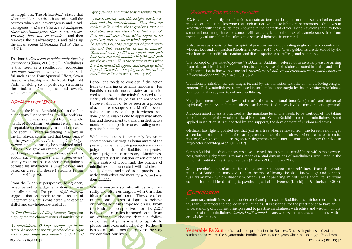to happiness. The *Atthasalini* states that when mindfulness arises, it searches well the courses which are, advantageous and disadvantageous: - 'these states are advantageous, those disadvantageous, these states are serviceable, those not serviceable' - and then removes the disadvantageous and takes up the advantageous (*Atthasālinī*, Part IV, Chp 1, p.121).

The fourth *dimension is deliberately forming* conceptions (Kuan, 2008, p.52). Mindfulness is then seen as a recollection, recollecting 'virtuous objects' – wholesome and skilful such as the Four Spiritual Effort, Seven Base of Arahatship and the Noble Eightfold Path. In doing so, it positively structures the mind, transforming the mind towards wholesomeness.

## Mindfulness and Ethics

As mindfulness, O King, springs up in his heart, he repeats over the good and evil, right and wrong, slight and important, dark and

Relating the Noble Eightfold path to the four dimensions Kuan identifies, it will be problematic if mindfulness is removed from the whole matrix of Buddhism. Jetsunma Tenzin Palmo, a reputable contemporary meditation master who spent 12 years meditating in a cave in the Himalayas, commented that being 'aware' of the *'present moment'* and being *'non-judge*mental', could not strictly be considered mindfulness. She gave an example of a bank robber being very attentive and conscious of his action, such 'awareness' and 'attentiveness' strictly could not be considered mindfulness because his motivation is unwholesome and based on greed and desire (Jetsunma Tenzin Palmo, 2011, p.98).

From the Buddhist perspective, being open, receptive and non-judgemental does not mean ethically neutral. The prefix 'right' (sammā) suggests that one needs to make an ethical judgement of what is considered wholesome/ skilful and unwholesome/unskilful.

In The Questions of King Milinda, Nagasena highlighted the characteristics of mindfulness:

Within western society, ethics and morality are often entangled with Christian ideas of commandments. They are often understood as a set of dogma to believe or commandments imposed on us. From the Buddhist perspective, morality (sīla) is not a set of rules imposed on us from an external authority that we follow out of fear of punishment, or uphold to please that external authority. Rather, it is a set of guidelines that govern the way we conduct our lives.

light qualities, and those that resemble them

Sila is taken voluntarily; one abandons certain actions that bring harm to oneself and others and uphold certain actions knowing that such actions will make life more harmonious. One lives in accordance with these guidelines, knowing in the heart that ethical living - avoiding the unwholesome and nurturing the wholesome - will naturally lead to the bliss of blamelessness, free from psychological turmoil and resulting in a sense of lightness in our minds.

It also serves as a basis for further spiritual practices such as cultivating single-pointed concentration, wisdom, love and compassion (Chodron in Faxun, 2011, p.6). These guidelines are developed by the wise born from mindful observations and direct experience of suffering and happiness.

… this is serenity and this insight, this is wisdom and this emancipation. Thus does the recluse follow after those qualities that are desirable, and not after those that are not; thus he cultivates those which ought to be practised, and not those which ought not … he searches out the categories of good qualities and their opposites, saying to himself, "Such and such qualities are good, and such bad; such and such qualities helpful, and such are the reverse." Thus the recluse makes what is evil in himself disappear, and keeps up what is good. That is how keeping up is the mark of mindfulness (Davids trans, 1894, p.58).

The concept of 'genuine happiness' (sukkha) in Buddhism refers not to sensual pleasure arising from pleasurable stimuli. Rather it refers to a deep sense of blissfulness, rooted in ethical and spiritual maturation in line with virtue and *'underlies and suffuses all emotional states [and] embraces* all vicissitudes of life.' (Wallace, 2007, p.2).

Hence, one needs to consider if the action leads to suffering or genuine happiness. For Buddhism, certain mental states are considered to be toxic to the mind; they need to be clearly identified as 'poison' and abandoned. However, this is not to be seen as a process of avoidance or suppression. Mindfulness enables one to stay on the path, whereas wisdom (paññā) enables one to apply wise attention and discernment to transform destructive mental states to positive ones, leading one to genuine happiness.

While mindfulness is commonly known in contemporary writings as being aware of the present moment and being receptive and nonjudgemental, from the Buddhist perspective, ethical judgement is necessary. Mindfulness is not practised in isolation (taken out of the whole matrix of Buddhism); the practice of mindfulness is connected with wholesome states of mind and need to be practised together with ethics and morality (sila) and wisdom (paññā).

Traditionally, mindfulness was taught to, and by, the monastics with the aim of achieving enlightenment. Today, mindfulness as practised in secular fields are taught by the laity using mindfulness as a tool for therapy and to enhance well-being.

Nagarjuna mentioned two levels of truth, the conventional (mundane) truth and universal (spiritual) truth. As such, mindfulness can be practised at two levels – mundane and spiritual.

Although mindfulness is practised at the mundane level, one needs to be cautious of not taking mindfulness out of the whole matrix of Buddhism. Within Buddhist traditions, mindfulness is not applied in isolation; it is supported by, and supports, the development of wisdom and ethics.

Olednzki has rightly pointed out that just as a tree when removed from the forest is no longer a tree but a piece of timber, the caring attentiveness of mindfulness, when extracted from its matrix of wholesome co-arising factor, degenerates into mere attention (Andrew Olendzki in http://clearviewblog.org/2011/08/).

Certain Buddhist meditation masters have stressed that to conflate mindfulness with simple awareness, without judgement, is to miss other essential dimensions of mindfulness articulated in the Buddhist meditation texts and manuals (Analayo 2003, Brahm 2006).

Some psychologists also caution that attempts to separate mindfulness from the whole matrix of Buddhism, may give rise to the risk of losing the skill, knowledge and conceptual framework which Buddhism offers and separating mindfulness from its spiritual connection could be diluting its psychological effectiveness (Dimidjian & Linehan, 2003).

In summary, mindfulness, as it is understood and practised in Buddhism, is a richer concept than thus far understood and applied in secular fields. It is essential for the practitioner to have an understanding of Buddhist principles and to practise mindfulness with ethics and wisdom. In the practice of right mindfulness *(sammā-sati), sammā* means wholesome and *sati* cannot exist without wholesomeness.

**Venerable Fa Xun** holds academic qualifications in Business Studies, linguistics and Asian studies and served in the Sagaramudra Buddhist Society for 5 years. She has also taught Buddhism POJ Extra ( POJ 43) | 6 POJ Extra ( POJ 43) | 7